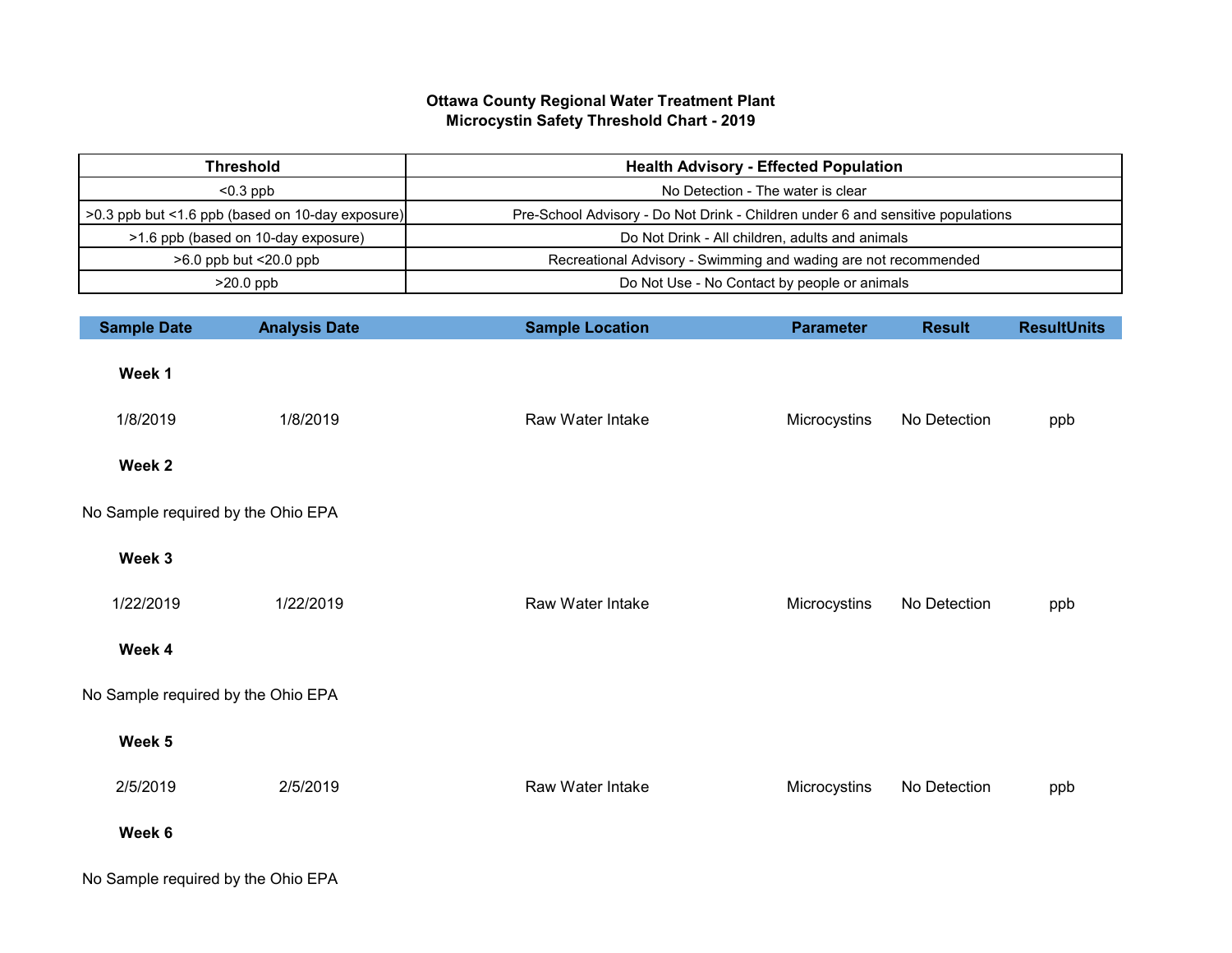## **Ottawa County Regional Water Treatment Plant Microcystin Safety Threshold Chart - 2019**

| <b>Threshold</b>                                 | <b>Health Advisory - Effected Population</b>                                    |
|--------------------------------------------------|---------------------------------------------------------------------------------|
| $< 0.3$ ppb                                      | No Detection - The water is clear                                               |
| >0.3 ppb but <1.6 ppb (based on 10-day exposure) | Pre-School Advisory - Do Not Drink - Children under 6 and sensitive populations |
| >1.6 ppb (based on 10-day exposure)              | Do Not Drink - All children, adults and animals                                 |
| $>6.0$ ppb but $<$ 20.0 ppb                      | Recreational Advisory - Swimming and wading are not recommended                 |
| $>20.0$ ppb                                      | Do Not Use - No Contact by people or animals                                    |

| <b>Sample Date</b>                 | <b>Analysis Date</b> | <b>Sample Location</b> | <b>Parameter</b> | <b>Result</b> | <b>ResultUnits</b> |
|------------------------------------|----------------------|------------------------|------------------|---------------|--------------------|
| Week 1                             |                      |                        |                  |               |                    |
| 1/8/2019                           | 1/8/2019             | Raw Water Intake       | Microcystins     | No Detection  | ppb                |
| Week 2                             |                      |                        |                  |               |                    |
| No Sample required by the Ohio EPA |                      |                        |                  |               |                    |
| Week 3                             |                      |                        |                  |               |                    |
| 1/22/2019                          | 1/22/2019            | Raw Water Intake       | Microcystins     | No Detection  | ppb                |
| Week 4                             |                      |                        |                  |               |                    |
| No Sample required by the Ohio EPA |                      |                        |                  |               |                    |
| Week 5                             |                      |                        |                  |               |                    |
| 2/5/2019                           | 2/5/2019             | Raw Water Intake       | Microcystins     | No Detection  | ppb                |
| Week 6                             |                      |                        |                  |               |                    |
| No Sample required by the Ohio EPA |                      |                        |                  |               |                    |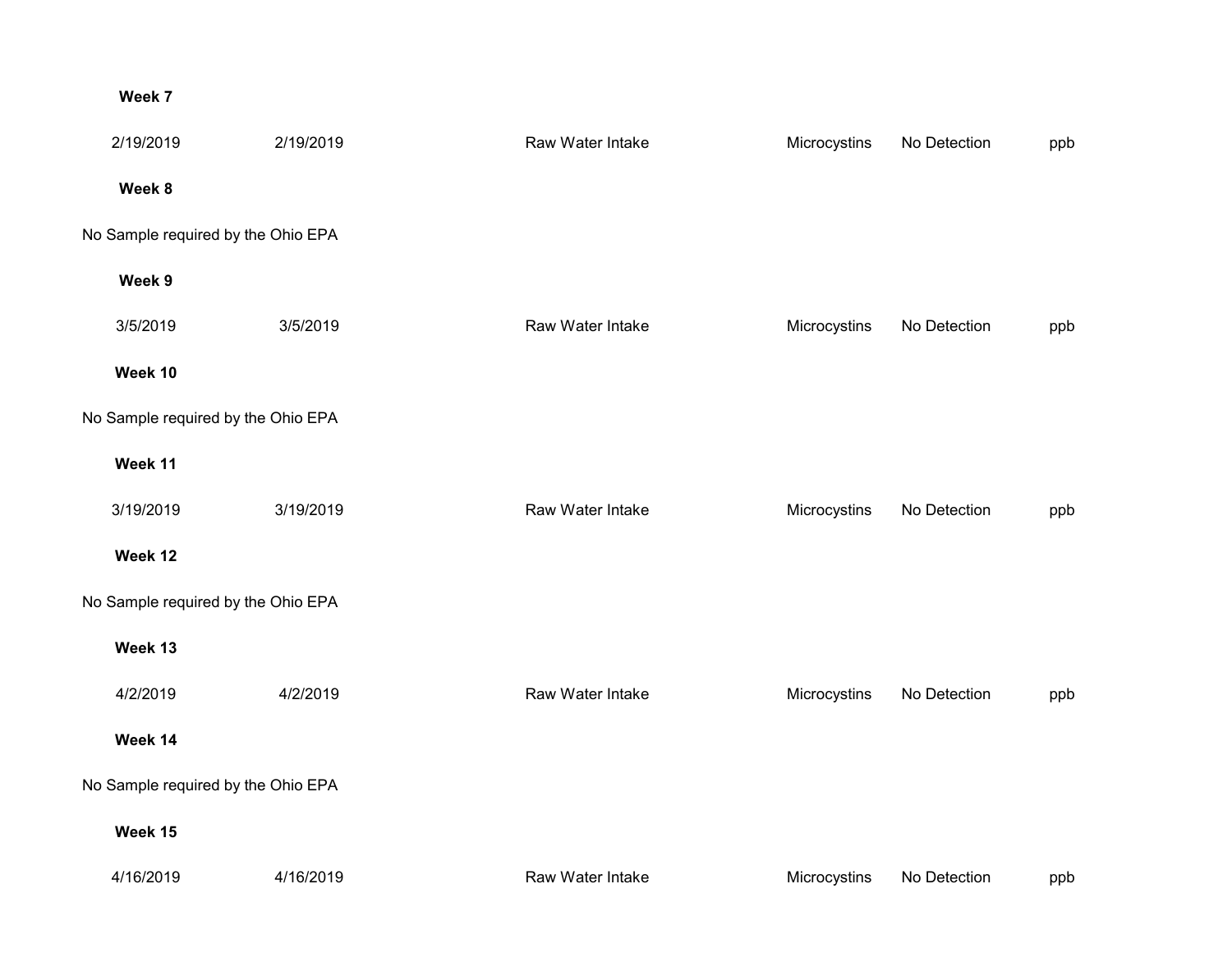## **Week 7**

| 2/19/2019                          | 2/19/2019 | Raw Water Intake | Microcystins | No Detection | ppb |
|------------------------------------|-----------|------------------|--------------|--------------|-----|
| Week 8                             |           |                  |              |              |     |
| No Sample required by the Ohio EPA |           |                  |              |              |     |
| Week 9                             |           |                  |              |              |     |
| 3/5/2019                           | 3/5/2019  | Raw Water Intake | Microcystins | No Detection | ppb |
| Week 10                            |           |                  |              |              |     |
| No Sample required by the Ohio EPA |           |                  |              |              |     |
| Week 11                            |           |                  |              |              |     |
| 3/19/2019                          | 3/19/2019 | Raw Water Intake | Microcystins | No Detection | ppb |
| Week 12                            |           |                  |              |              |     |
| No Sample required by the Ohio EPA |           |                  |              |              |     |
| Week 13                            |           |                  |              |              |     |
| 4/2/2019                           | 4/2/2019  | Raw Water Intake | Microcystins | No Detection | ppb |
| Week 14                            |           |                  |              |              |     |
| No Sample required by the Ohio EPA |           |                  |              |              |     |
| Week 15                            |           |                  |              |              |     |
| 4/16/2019                          | 4/16/2019 | Raw Water Intake | Microcystins | No Detection | ppb |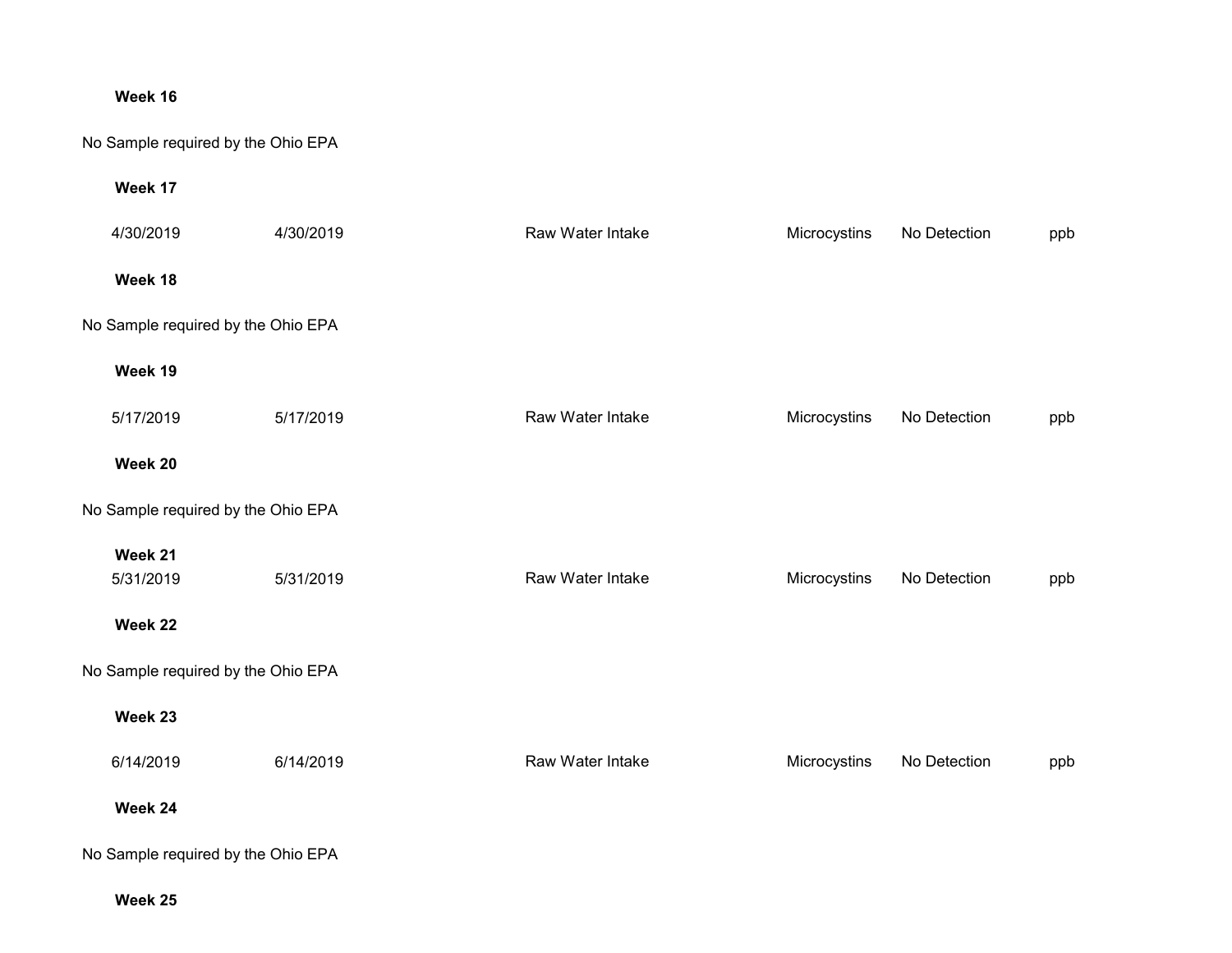# **Week 16**

# No Sample required by the Ohio EPA

#### **Week 17**

| 4/30/2019                          | 4/30/2019 | Raw Water Intake | Microcystins | No Detection | ppb |
|------------------------------------|-----------|------------------|--------------|--------------|-----|
| Week 18                            |           |                  |              |              |     |
| No Sample required by the Ohio EPA |           |                  |              |              |     |
| Week 19                            |           |                  |              |              |     |
| 5/17/2019                          | 5/17/2019 | Raw Water Intake | Microcystins | No Detection | ppb |
| Week 20                            |           |                  |              |              |     |
| No Sample required by the Ohio EPA |           |                  |              |              |     |
| Week 21<br>5/31/2019               | 5/31/2019 | Raw Water Intake | Microcystins | No Detection | ppb |
| Week 22                            |           |                  |              |              |     |
| No Sample required by the Ohio EPA |           |                  |              |              |     |
| Week 23                            |           |                  |              |              |     |
| 6/14/2019                          | 6/14/2019 | Raw Water Intake | Microcystins | No Detection | ppb |
| Week 24                            |           |                  |              |              |     |
| No Sample required by the Ohio EPA |           |                  |              |              |     |

**Week 25**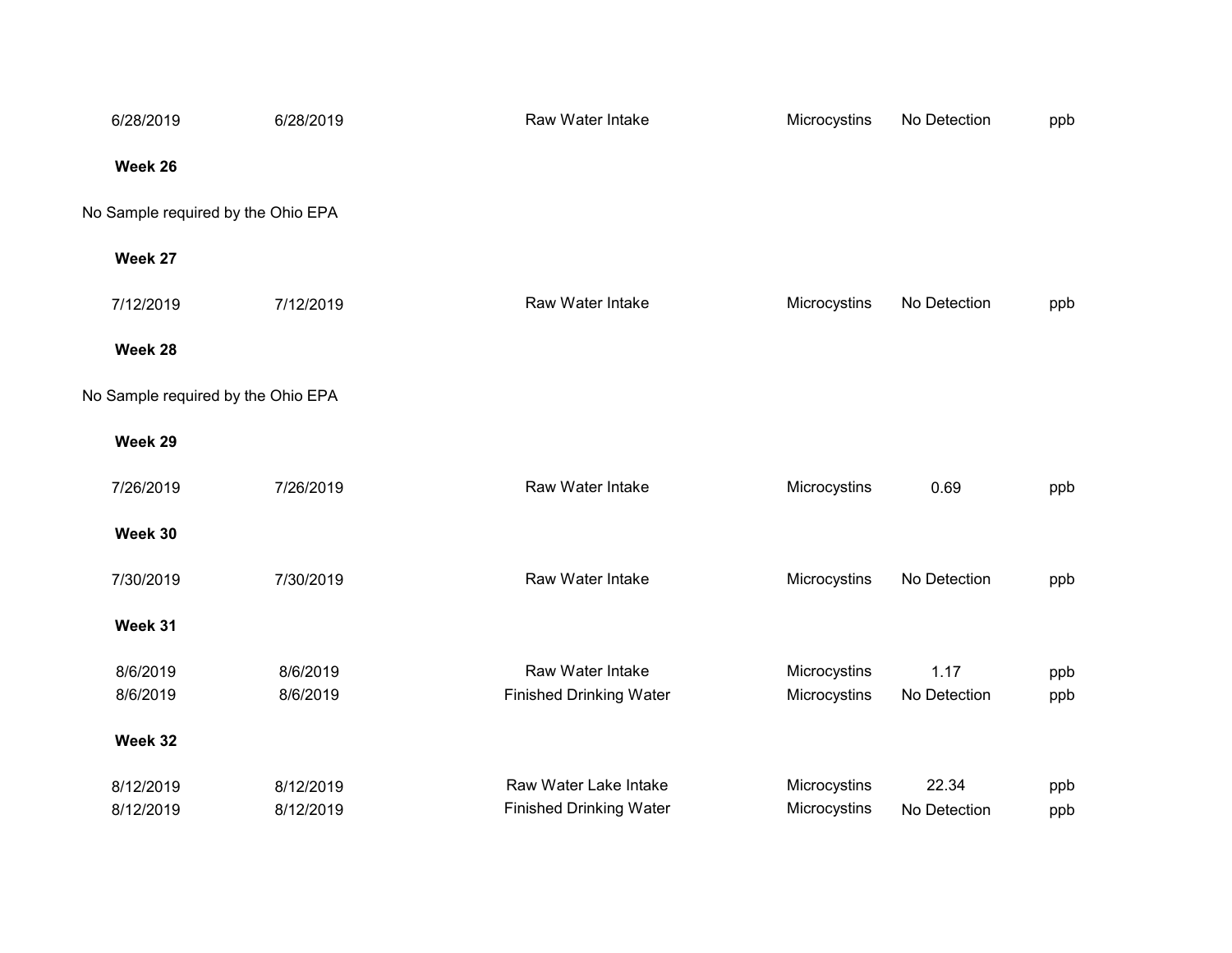| 6/28/2019                          | 6/28/2019 | Raw Water Intake               | Microcystins | No Detection | ppb |
|------------------------------------|-----------|--------------------------------|--------------|--------------|-----|
| Week 26                            |           |                                |              |              |     |
| No Sample required by the Ohio EPA |           |                                |              |              |     |
| Week 27                            |           |                                |              |              |     |
| 7/12/2019                          | 7/12/2019 | Raw Water Intake               | Microcystins | No Detection | ppb |
| Week 28                            |           |                                |              |              |     |
| No Sample required by the Ohio EPA |           |                                |              |              |     |
| Week 29                            |           |                                |              |              |     |
| 7/26/2019                          | 7/26/2019 | Raw Water Intake               | Microcystins | 0.69         | ppb |
| Week 30                            |           |                                |              |              |     |
| 7/30/2019                          | 7/30/2019 | Raw Water Intake               | Microcystins | No Detection | ppb |
| Week 31                            |           |                                |              |              |     |
| 8/6/2019                           | 8/6/2019  | Raw Water Intake               | Microcystins | 1.17         | ppb |
| 8/6/2019                           | 8/6/2019  | <b>Finished Drinking Water</b> | Microcystins | No Detection | ppb |
| Week 32                            |           |                                |              |              |     |
| 8/12/2019                          | 8/12/2019 | Raw Water Lake Intake          | Microcystins | 22.34        | ppb |
| 8/12/2019                          | 8/12/2019 | <b>Finished Drinking Water</b> | Microcystins | No Detection | ppb |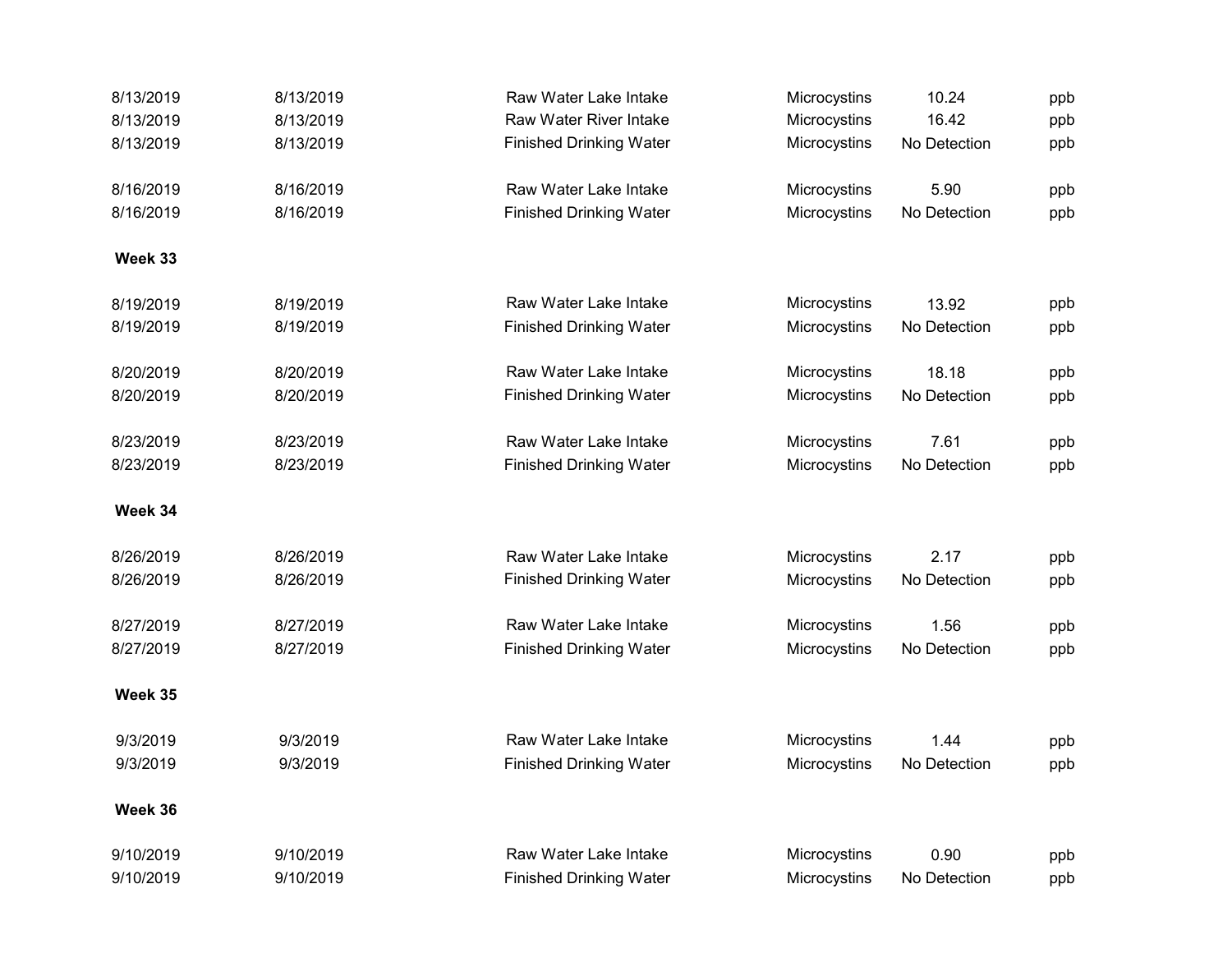| 8/13/2019 | 8/13/2019 | Raw Water Lake Intake          | Microcystins | 10.24        | ppb |
|-----------|-----------|--------------------------------|--------------|--------------|-----|
| 8/13/2019 | 8/13/2019 | <b>Raw Water River Intake</b>  | Microcystins | 16.42        | ppb |
| 8/13/2019 | 8/13/2019 | <b>Finished Drinking Water</b> | Microcystins | No Detection | ppb |
| 8/16/2019 | 8/16/2019 | Raw Water Lake Intake          | Microcystins | 5.90         | ppb |
| 8/16/2019 | 8/16/2019 | <b>Finished Drinking Water</b> | Microcystins | No Detection | ppb |
| Week 33   |           |                                |              |              |     |
| 8/19/2019 | 8/19/2019 | Raw Water Lake Intake          | Microcystins | 13.92        | ppb |
| 8/19/2019 | 8/19/2019 | <b>Finished Drinking Water</b> | Microcystins | No Detection | ppb |
| 8/20/2019 | 8/20/2019 | Raw Water Lake Intake          | Microcystins | 18.18        | ppb |
| 8/20/2019 | 8/20/2019 | <b>Finished Drinking Water</b> | Microcystins | No Detection | ppb |
| 8/23/2019 | 8/23/2019 | Raw Water Lake Intake          | Microcystins | 7.61         | ppb |
| 8/23/2019 | 8/23/2019 | <b>Finished Drinking Water</b> | Microcystins | No Detection | ppb |
| Week 34   |           |                                |              |              |     |
| 8/26/2019 | 8/26/2019 | Raw Water Lake Intake          | Microcystins | 2.17         | ppb |
| 8/26/2019 | 8/26/2019 | <b>Finished Drinking Water</b> | Microcystins | No Detection | ppb |
| 8/27/2019 | 8/27/2019 | Raw Water Lake Intake          | Microcystins | 1.56         | ppb |
| 8/27/2019 | 8/27/2019 | <b>Finished Drinking Water</b> | Microcystins | No Detection | ppb |
| Week 35   |           |                                |              |              |     |
| 9/3/2019  | 9/3/2019  | Raw Water Lake Intake          | Microcystins | 1.44         | ppb |
| 9/3/2019  | 9/3/2019  | <b>Finished Drinking Water</b> | Microcystins | No Detection | ppb |
| Week 36   |           |                                |              |              |     |
| 9/10/2019 | 9/10/2019 | Raw Water Lake Intake          | Microcystins | 0.90         | ppb |
| 9/10/2019 | 9/10/2019 | <b>Finished Drinking Water</b> | Microcystins | No Detection | ppb |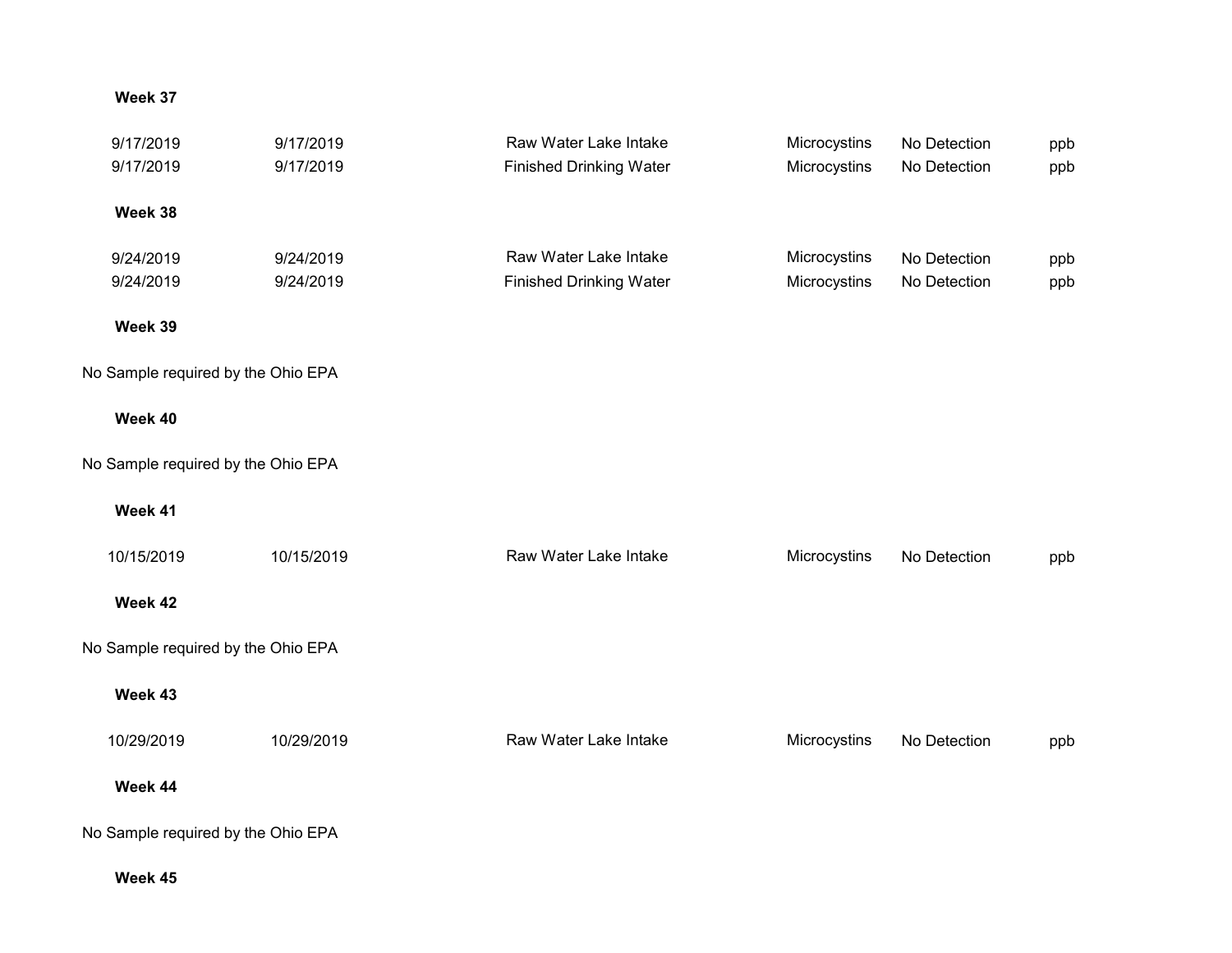## **Week 37**

| 9/17/2019                          | 9/17/2019  | Raw Water Lake Intake          | Microcystins | No Detection | ppb |
|------------------------------------|------------|--------------------------------|--------------|--------------|-----|
| 9/17/2019                          | 9/17/2019  | <b>Finished Drinking Water</b> | Microcystins | No Detection | ppb |
|                                    |            |                                |              |              |     |
| Week 38                            |            |                                |              |              |     |
| 9/24/2019                          | 9/24/2019  | Raw Water Lake Intake          | Microcystins | No Detection | ppb |
| 9/24/2019                          | 9/24/2019  | <b>Finished Drinking Water</b> | Microcystins | No Detection | ppb |
|                                    |            |                                |              |              |     |
| Week 39                            |            |                                |              |              |     |
| No Sample required by the Ohio EPA |            |                                |              |              |     |
|                                    |            |                                |              |              |     |
| Week 40                            |            |                                |              |              |     |
| No Sample required by the Ohio EPA |            |                                |              |              |     |
|                                    |            |                                |              |              |     |
| Week 41                            |            |                                |              |              |     |
| 10/15/2019                         | 10/15/2019 | Raw Water Lake Intake          | Microcystins | No Detection |     |
|                                    |            |                                |              |              | ppb |
| Week 42                            |            |                                |              |              |     |
| No Sample required by the Ohio EPA |            |                                |              |              |     |
|                                    |            |                                |              |              |     |
| Week 43                            |            |                                |              |              |     |
|                                    | 10/29/2019 | Raw Water Lake Intake          | Microcystins |              |     |
| 10/29/2019                         |            |                                |              | No Detection | ppb |
| Week 44                            |            |                                |              |              |     |
|                                    |            |                                |              |              |     |
| No Sample required by the Ohio EPA |            |                                |              |              |     |
|                                    |            |                                |              |              |     |

**Week 45**